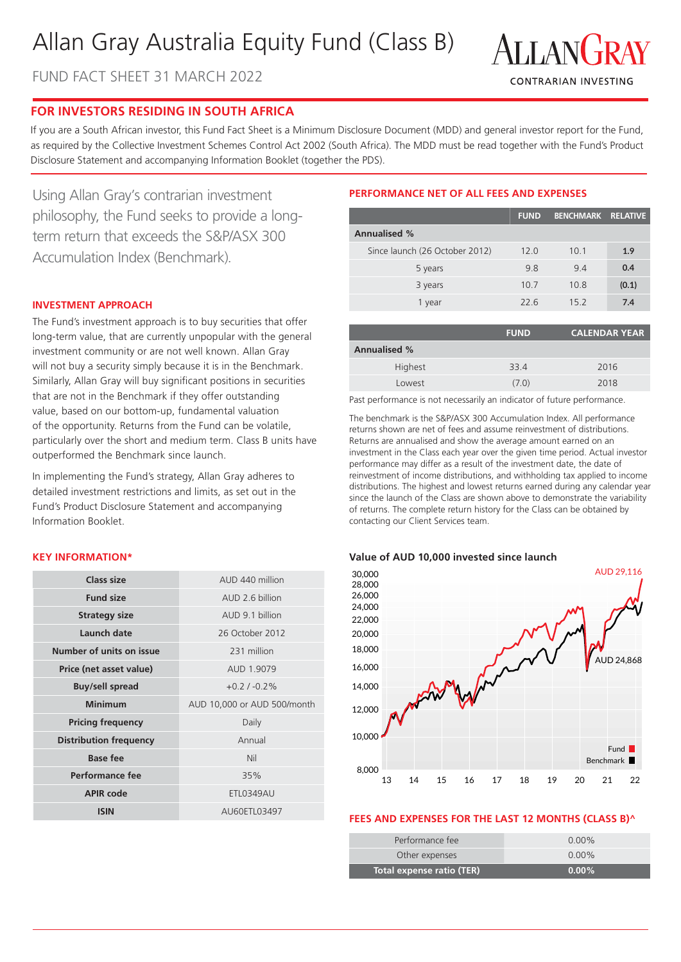# Allan Gray Australia Equity Fund (Class B)

FUND FACT SHEET 31 MARCH 2022



# **FOR INVESTORS RESIDING IN SOUTH AFRICA**

If you are a South African investor, this Fund Fact Sheet is a Minimum Disclosure Document (MDD) and general investor report for the Fund, as required by the Collective Investment Schemes Control Act 2002 (South Africa). The MDD must be read together with the Fund's Product Disclosure Statement and accompanying Information Booklet (together the PDS).

Using Allan Gray's contrarian investment philosophy, the Fund seeks to provide a longterm return that exceeds the S&P/ASX 300 Accumulation Index (Benchmark).

# **INVESTMENT APPROACH**

The Fund's investment approach is to buy securities that offer long-term value, that are currently unpopular with the general investment community or are not well known. Allan Gray will not buy a security simply because it is in the Benchmark. Similarly, Allan Gray will buy significant positions in securities that are not in the Benchmark if they offer outstanding value, based on our bottom-up, fundamental valuation of the opportunity. Returns from the Fund can be volatile, particularly over the short and medium term. Class B units have outperformed the Benchmark since launch.

In implementing the Fund's strategy, Allan Gray adheres to detailed investment restrictions and limits, as set out in the Fund's Product Disclosure Statement and accompanying Information Booklet.

## **KEY INFORMATION\***

| Class size                     | AUD 440 million             |  |
|--------------------------------|-----------------------------|--|
| <b>Fund size</b>               | AUD 2 6 billion             |  |
| <b>Strategy size</b>           | AUD 9.1 billion             |  |
| Launch date<br>26 October 2012 |                             |  |
| Number of units on issue       | 231 million                 |  |
| Price (net asset value)        | AUD 1.9079                  |  |
| <b>Buy/sell spread</b>         | $+0.2$ / $-0.2%$            |  |
| <b>Minimum</b>                 | AUD 10,000 or AUD 500/month |  |
| <b>Pricing frequency</b>       | Daily                       |  |
| <b>Distribution frequency</b>  | Annual                      |  |
| <b>Base fee</b>                | Nil                         |  |
| Performance fee                | 35%                         |  |
| <b>APIR code</b>               | ETL0349AU                   |  |
| <b>ISIN</b>                    | AU60FTL03497                |  |

# **PERFORMANCE NET OF ALL FEES AND EXPENSES**

|                                | <b>FUND</b> | <b>BENCHMARK</b> | <b>RELATIVE</b> |
|--------------------------------|-------------|------------------|-----------------|
| <b>Annualised %</b>            |             |                  |                 |
| Since launch (26 October 2012) | 12.0        | 10.1             | 1.9             |
| 5 years                        | 9.8         | 9.4              | 0.4             |
| 3 years                        | 10.7        | 10.8             | (0.1)           |
| 1 year                         | 22.6        | 15.2             | 7.4             |

|                     | <b>FUND</b> | <b>CALENDAR YEAR</b> |
|---------------------|-------------|----------------------|
| <b>Annualised %</b> |             |                      |
| Highest             | 33.4        | 2016                 |
| Lowest              | (7.0)       | 2018                 |

Past performance is not necessarily an indicator of future performance.

The benchmark is the S&P/ASX 300 Accumulation Index. All performance returns shown are net of fees and assume reinvestment of distributions. Returns are annualised and show the average amount earned on an investment in the Class each year over the given time period. Actual investor performance may differ as a result of the investment date, the date of reinvestment of income distributions, and withholding tax applied to income distributions. The highest and lowest returns earned during any calendar year since the launch of the Class are shown above to demonstrate the variability of returns. The complete return history for the Class can be obtained by contacting our Client Services team.

#### **Value of AUD 10,000 invested since launch**



#### **FEES AND EXPENSES FOR THE LAST 12 MONTHS (CLASS B)^**